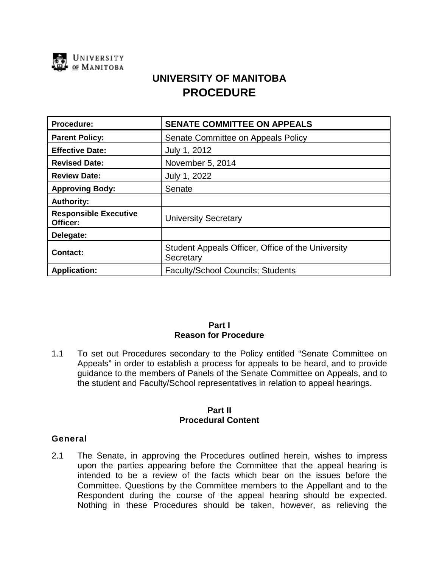

# **UNIVERSITY OF MANITOBA PROCEDURE**

| Procedure:                               | <b>SENATE COMMITTEE ON APPEALS</b>                             |
|------------------------------------------|----------------------------------------------------------------|
| <b>Parent Policy:</b>                    | Senate Committee on Appeals Policy                             |
| <b>Effective Date:</b>                   | July 1, 2012                                                   |
| <b>Revised Date:</b>                     | November 5, 2014                                               |
| <b>Review Date:</b>                      | July 1, 2022                                                   |
| <b>Approving Body:</b>                   | Senate                                                         |
| <b>Authority:</b>                        |                                                                |
| <b>Responsible Executive</b><br>Officer: | <b>University Secretary</b>                                    |
| Delegate:                                |                                                                |
| <b>Contact:</b>                          | Student Appeals Officer, Office of the University<br>Secretary |
| <b>Application:</b>                      | <b>Faculty/School Councils; Students</b>                       |

## **Part I Reason for Procedure**

1.1 To set out Procedures secondary to the Policy entitled "Senate Committee on Appeals" in order to establish a process for appeals to be heard, and to provide guidance to the members of Panels of the Senate Committee on Appeals, and to the student and Faculty/School representatives in relation to appeal hearings.

#### **Part II Procedural Content**

## **General**

2.1 The Senate, in approving the Procedures outlined herein, wishes to impress upon the parties appearing before the Committee that the appeal hearing is intended to be a review of the facts which bear on the issues before the Committee. Questions by the Committee members to the Appellant and to the Respondent during the course of the appeal hearing should be expected. Nothing in these Procedures should be taken, however, as relieving the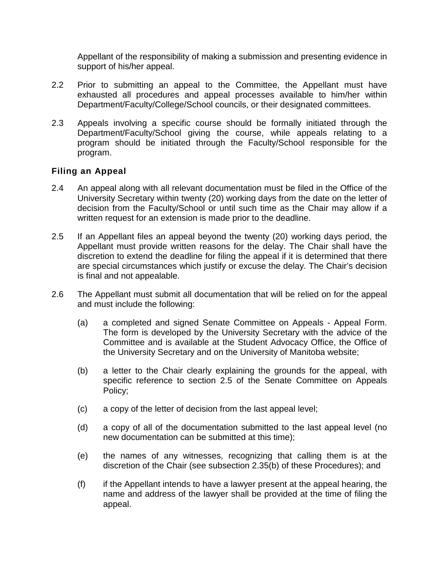Appellant of the responsibility of making a submission and presenting evidence in support of his/her appeal.

- 2.2 Prior to submitting an appeal to the Committee, the Appellant must have exhausted all procedures and appeal processes available to him/her within Department/Faculty/College/School councils, or their designated committees.
- 2.3 Appeals involving a specific course should be formally initiated through the Department/Faculty/School giving the course, while appeals relating to a program should be initiated through the Faculty/School responsible for the program.

# **Filing an Appeal**

- 2.4 An appeal along with all relevant documentation must be filed in the Office of the University Secretary within twenty (20) working days from the date on the letter of decision from the Faculty/School or until such time as the Chair may allow if a written request for an extension is made prior to the deadline.
- 2.5 If an Appellant files an appeal beyond the twenty (20) working days period, the Appellant must provide written reasons for the delay. The Chair shall have the discretion to extend the deadline for filing the appeal if it is determined that there are special circumstances which justify or excuse the delay. The Chair's decision is final and not appealable.
- 2.6 The Appellant must submit all documentation that will be relied on for the appeal and must include the following:
	- (a) a completed and signed Senate Committee on Appeals Appeal Form. The form is developed by the University Secretary with the advice of the Committee and is available at the Student Advocacy Office, the Office of the University Secretary and on the University of Manitoba website;
	- (b) a letter to the Chair clearly explaining the grounds for the appeal, with specific reference to section 2.5 of the Senate Committee on Appeals Policy;
	- (c) a copy of the letter of decision from the last appeal level;
	- (d) a copy of all of the documentation submitted to the last appeal level (no new documentation can be submitted at this time);
	- (e) the names of any witnesses, recognizing that calling them is at the discretion of the Chair (see subsection 2.35(b) of these Procedures); and
	- (f) if the Appellant intends to have a lawyer present at the appeal hearing, the name and address of the lawyer shall be provided at the time of filing the appeal.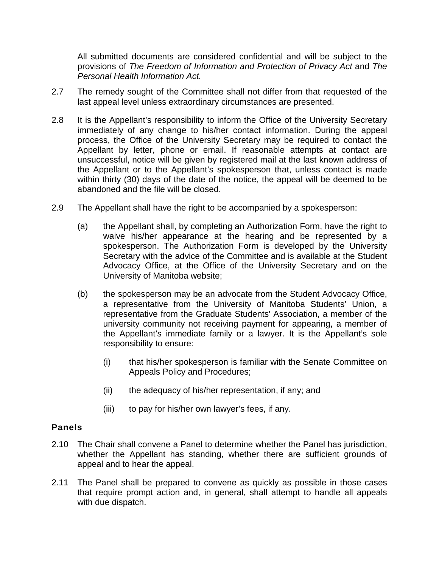All submitted documents are considered confidential and will be subject to the provisions of *The Freedom of Information and Protection of Privacy Act* and *The Personal Health Information Act.*

- 2.7 The remedy sought of the Committee shall not differ from that requested of the last appeal level unless extraordinary circumstances are presented.
- 2.8 It is the Appellant's responsibility to inform the Office of the University Secretary immediately of any change to his/her contact information. During the appeal process, the Office of the University Secretary may be required to contact the Appellant by letter, phone or email. If reasonable attempts at contact are unsuccessful, notice will be given by registered mail at the last known address of the Appellant or to the Appellant's spokesperson that, unless contact is made within thirty (30) days of the date of the notice, the appeal will be deemed to be abandoned and the file will be closed.
- 2.9 The Appellant shall have the right to be accompanied by a spokesperson:
	- (a) the Appellant shall, by completing an Authorization Form, have the right to waive his/her appearance at the hearing and be represented by a spokesperson. The Authorization Form is developed by the University Secretary with the advice of the Committee and is available at the Student Advocacy Office, at the Office of the University Secretary and on the University of Manitoba website;
	- (b) the spokesperson may be an advocate from the Student Advocacy Office, a representative from the University of Manitoba Students' Union, a representative from the Graduate Students' Association, a member of the university community not receiving payment for appearing, a member of the Appellant's immediate family or a lawyer. It is the Appellant's sole responsibility to ensure:
		- (i) that his/her spokesperson is familiar with the Senate Committee on Appeals Policy and Procedures;
		- (ii) the adequacy of his/her representation, if any; and
		- (iii) to pay for his/her own lawyer's fees, if any.

# **Panels**

- 2.10 The Chair shall convene a Panel to determine whether the Panel has jurisdiction, whether the Appellant has standing, whether there are sufficient grounds of appeal and to hear the appeal.
- 2.11 The Panel shall be prepared to convene as quickly as possible in those cases that require prompt action and, in general, shall attempt to handle all appeals with due dispatch.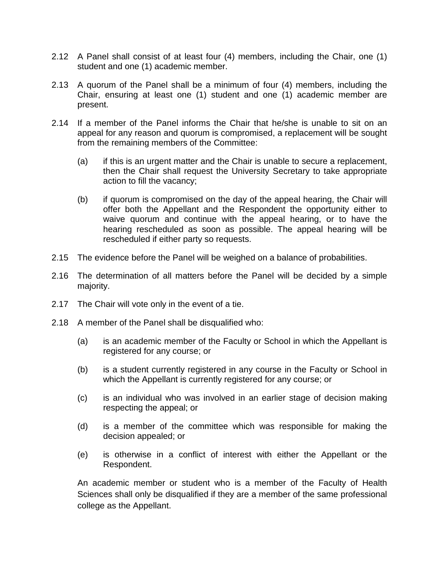- 2.12 A Panel shall consist of at least four (4) members, including the Chair, one (1) student and one (1) academic member.
- 2.13 A quorum of the Panel shall be a minimum of four (4) members, including the Chair, ensuring at least one (1) student and one (1) academic member are present.
- 2.14 If a member of the Panel informs the Chair that he/she is unable to sit on an appeal for any reason and quorum is compromised, a replacement will be sought from the remaining members of the Committee:
	- (a) if this is an urgent matter and the Chair is unable to secure a replacement, then the Chair shall request the University Secretary to take appropriate action to fill the vacancy;
	- (b) if quorum is compromised on the day of the appeal hearing, the Chair will offer both the Appellant and the Respondent the opportunity either to waive quorum and continue with the appeal hearing, or to have the hearing rescheduled as soon as possible. The appeal hearing will be rescheduled if either party so requests.
- 2.15 The evidence before the Panel will be weighed on a balance of probabilities.
- 2.16 The determination of all matters before the Panel will be decided by a simple majority.
- 2.17 The Chair will vote only in the event of a tie.
- 2.18 A member of the Panel shall be disqualified who:
	- (a) is an academic member of the Faculty or School in which the Appellant is registered for any course; or
	- (b) is a student currently registered in any course in the Faculty or School in which the Appellant is currently registered for any course; or
	- (c) is an individual who was involved in an earlier stage of decision making respecting the appeal; or
	- (d) is a member of the committee which was responsible for making the decision appealed; or
	- (e) is otherwise in a conflict of interest with either the Appellant or the Respondent.

An academic member or student who is a member of the Faculty of Health Sciences shall only be disqualified if they are a member of the same professional college as the Appellant.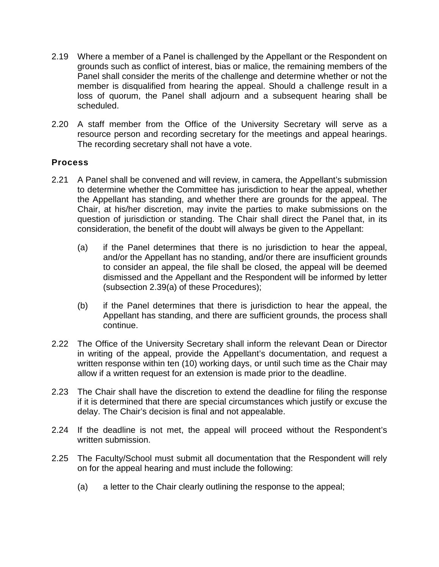- 2.19 Where a member of a Panel is challenged by the Appellant or the Respondent on grounds such as conflict of interest, bias or malice, the remaining members of the Panel shall consider the merits of the challenge and determine whether or not the member is disqualified from hearing the appeal. Should a challenge result in a loss of quorum, the Panel shall adjourn and a subsequent hearing shall be scheduled.
- 2.20 A staff member from the Office of the University Secretary will serve as a resource person and recording secretary for the meetings and appeal hearings. The recording secretary shall not have a vote.

# **Process**

- 2.21 A Panel shall be convened and will review, in camera, the Appellant's submission to determine whether the Committee has jurisdiction to hear the appeal, whether the Appellant has standing, and whether there are grounds for the appeal. The Chair, at his/her discretion, may invite the parties to make submissions on the question of jurisdiction or standing. The Chair shall direct the Panel that, in its consideration, the benefit of the doubt will always be given to the Appellant:
	- (a) if the Panel determines that there is no jurisdiction to hear the appeal, and/or the Appellant has no standing, and/or there are insufficient grounds to consider an appeal, the file shall be closed, the appeal will be deemed dismissed and the Appellant and the Respondent will be informed by letter (subsection 2.39(a) of these Procedures);
	- (b) if the Panel determines that there is jurisdiction to hear the appeal, the Appellant has standing, and there are sufficient grounds, the process shall continue.
- 2.22 The Office of the University Secretary shall inform the relevant Dean or Director in writing of the appeal, provide the Appellant's documentation, and request a written response within ten (10) working days, or until such time as the Chair may allow if a written request for an extension is made prior to the deadline.
- 2.23 The Chair shall have the discretion to extend the deadline for filing the response if it is determined that there are special circumstances which justify or excuse the delay. The Chair's decision is final and not appealable.
- 2.24 If the deadline is not met, the appeal will proceed without the Respondent's written submission.
- 2.25 The Faculty/School must submit all documentation that the Respondent will rely on for the appeal hearing and must include the following:
	- (a) a letter to the Chair clearly outlining the response to the appeal;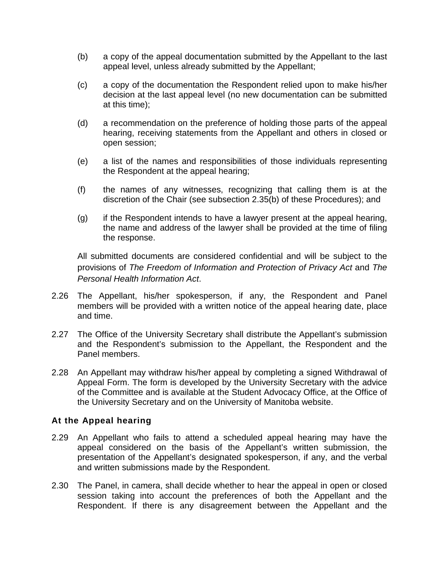- (b) a copy of the appeal documentation submitted by the Appellant to the last appeal level, unless already submitted by the Appellant;
- (c) a copy of the documentation the Respondent relied upon to make his/her decision at the last appeal level (no new documentation can be submitted at this time);
- (d) a recommendation on the preference of holding those parts of the appeal hearing, receiving statements from the Appellant and others in closed or open session;
- (e) a list of the names and responsibilities of those individuals representing the Respondent at the appeal hearing;
- (f) the names of any witnesses, recognizing that calling them is at the discretion of the Chair (see subsection 2.35(b) of these Procedures); and
- (g) if the Respondent intends to have a lawyer present at the appeal hearing, the name and address of the lawyer shall be provided at the time of filing the response.

All submitted documents are considered confidential and will be subject to the provisions of *The Freedom of Information and Protection of Privacy Act* and *The Personal Health Information Act*.

- 2.26 The Appellant, his/her spokesperson, if any, the Respondent and Panel members will be provided with a written notice of the appeal hearing date, place and time.
- 2.27 The Office of the University Secretary shall distribute the Appellant's submission and the Respondent's submission to the Appellant, the Respondent and the Panel members.
- 2.28 An Appellant may withdraw his/her appeal by completing a signed Withdrawal of Appeal Form. The form is developed by the University Secretary with the advice of the Committee and is available at the Student Advocacy Office, at the Office of the University Secretary and on the University of Manitoba website.

## **At the Appeal hearing**

- 2.29 An Appellant who fails to attend a scheduled appeal hearing may have the appeal considered on the basis of the Appellant's written submission, the presentation of the Appellant's designated spokesperson, if any, and the verbal and written submissions made by the Respondent.
- 2.30 The Panel, in camera, shall decide whether to hear the appeal in open or closed session taking into account the preferences of both the Appellant and the Respondent. If there is any disagreement between the Appellant and the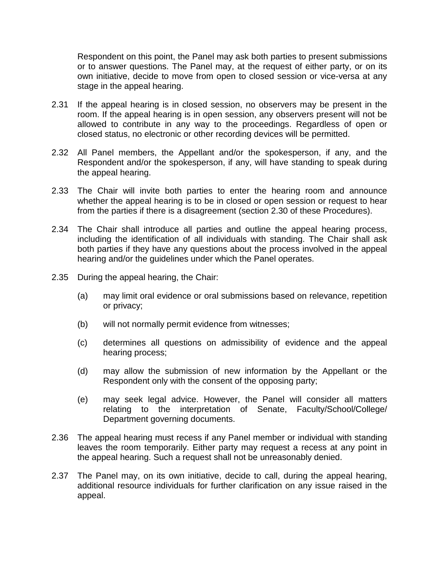Respondent on this point, the Panel may ask both parties to present submissions or to answer questions. The Panel may, at the request of either party, or on its own initiative, decide to move from open to closed session or vice-versa at any stage in the appeal hearing.

- 2.31 If the appeal hearing is in closed session, no observers may be present in the room. If the appeal hearing is in open session, any observers present will not be allowed to contribute in any way to the proceedings. Regardless of open or closed status, no electronic or other recording devices will be permitted.
- 2.32 All Panel members, the Appellant and/or the spokesperson, if any, and the Respondent and/or the spokesperson, if any, will have standing to speak during the appeal hearing.
- 2.33 The Chair will invite both parties to enter the hearing room and announce whether the appeal hearing is to be in closed or open session or request to hear from the parties if there is a disagreement (section 2.30 of these Procedures).
- 2.34 The Chair shall introduce all parties and outline the appeal hearing process, including the identification of all individuals with standing. The Chair shall ask both parties if they have any questions about the process involved in the appeal hearing and/or the guidelines under which the Panel operates.
- 2.35 During the appeal hearing, the Chair:
	- (a) may limit oral evidence or oral submissions based on relevance, repetition or privacy;
	- (b) will not normally permit evidence from witnesses;
	- (c) determines all questions on admissibility of evidence and the appeal hearing process;
	- (d) may allow the submission of new information by the Appellant or the Respondent only with the consent of the opposing party;
	- (e) may seek legal advice. However, the Panel will consider all matters relating to the interpretation of Senate, Faculty/School/College/ Department governing documents.
- 2.36 The appeal hearing must recess if any Panel member or individual with standing leaves the room temporarily. Either party may request a recess at any point in the appeal hearing. Such a request shall not be unreasonably denied.
- 2.37 The Panel may, on its own initiative, decide to call, during the appeal hearing, additional resource individuals for further clarification on any issue raised in the appeal.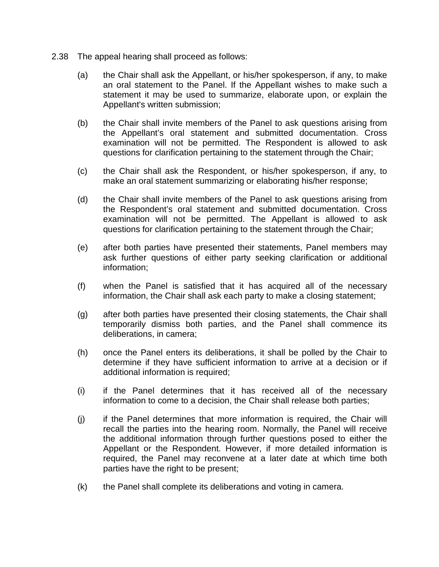- 2.38 The appeal hearing shall proceed as follows:
	- (a) the Chair shall ask the Appellant, or his/her spokesperson, if any, to make an oral statement to the Panel. If the Appellant wishes to make such a statement it may be used to summarize, elaborate upon, or explain the Appellant's written submission;
	- (b) the Chair shall invite members of the Panel to ask questions arising from the Appellant's oral statement and submitted documentation. Cross examination will not be permitted. The Respondent is allowed to ask questions for clarification pertaining to the statement through the Chair;
	- (c) the Chair shall ask the Respondent, or his/her spokesperson, if any, to make an oral statement summarizing or elaborating his/her response;
	- (d) the Chair shall invite members of the Panel to ask questions arising from the Respondent's oral statement and submitted documentation. Cross examination will not be permitted. The Appellant is allowed to ask questions for clarification pertaining to the statement through the Chair;
	- (e) after both parties have presented their statements, Panel members may ask further questions of either party seeking clarification or additional information;
	- (f) when the Panel is satisfied that it has acquired all of the necessary information, the Chair shall ask each party to make a closing statement;
	- (g) after both parties have presented their closing statements, the Chair shall temporarily dismiss both parties, and the Panel shall commence its deliberations, in camera;
	- (h) once the Panel enters its deliberations, it shall be polled by the Chair to determine if they have sufficient information to arrive at a decision or if additional information is required;
	- (i) if the Panel determines that it has received all of the necessary information to come to a decision, the Chair shall release both parties;
	- (j) if the Panel determines that more information is required, the Chair will recall the parties into the hearing room. Normally, the Panel will receive the additional information through further questions posed to either the Appellant or the Respondent. However, if more detailed information is required, the Panel may reconvene at a later date at which time both parties have the right to be present;
	- (k) the Panel shall complete its deliberations and voting in camera.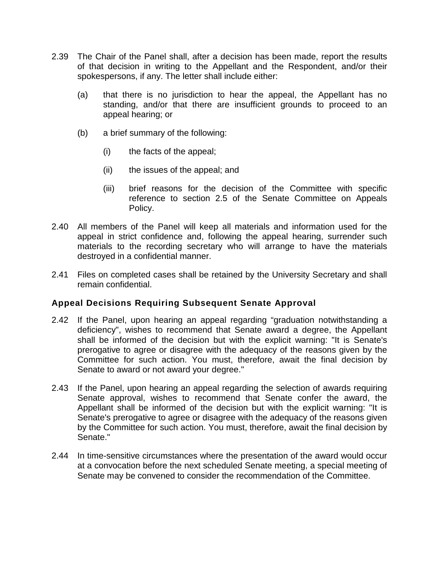- 2.39 The Chair of the Panel shall, after a decision has been made, report the results of that decision in writing to the Appellant and the Respondent, and/or their spokespersons, if any. The letter shall include either:
	- (a) that there is no jurisdiction to hear the appeal, the Appellant has no standing, and/or that there are insufficient grounds to proceed to an appeal hearing; or
	- (b) a brief summary of the following:
		- (i) the facts of the appeal;
		- (ii) the issues of the appeal; and
		- (iii) brief reasons for the decision of the Committee with specific reference to section 2.5 of the Senate Committee on Appeals Policy.
- 2.40 All members of the Panel will keep all materials and information used for the appeal in strict confidence and, following the appeal hearing, surrender such materials to the recording secretary who will arrange to have the materials destroyed in a confidential manner.
- 2.41 Files on completed cases shall be retained by the University Secretary and shall remain confidential.

# **Appeal Decisions Requiring Subsequent Senate Approval**

- 2.42 If the Panel, upon hearing an appeal regarding "graduation notwithstanding a deficiency", wishes to recommend that Senate award a degree, the Appellant shall be informed of the decision but with the explicit warning: "It is Senate's prerogative to agree or disagree with the adequacy of the reasons given by the Committee for such action. You must, therefore, await the final decision by Senate to award or not award your degree."
- 2.43 If the Panel, upon hearing an appeal regarding the selection of awards requiring Senate approval, wishes to recommend that Senate confer the award, the Appellant shall be informed of the decision but with the explicit warning: "It is Senate's prerogative to agree or disagree with the adequacy of the reasons given by the Committee for such action. You must, therefore, await the final decision by Senate."
- 2.44 In time-sensitive circumstances where the presentation of the award would occur at a convocation before the next scheduled Senate meeting, a special meeting of Senate may be convened to consider the recommendation of the Committee.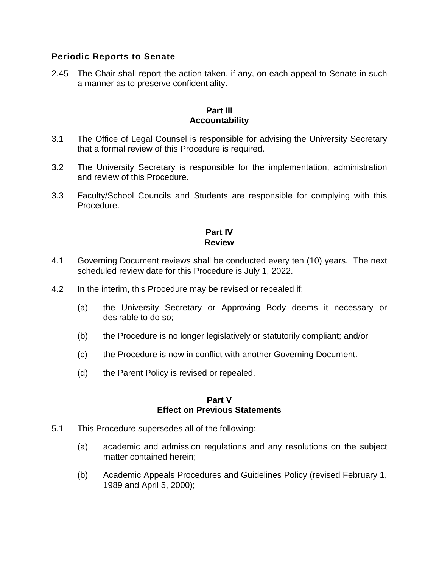## **Periodic Reports to Senate**

2.45 The Chair shall report the action taken, if any, on each appeal to Senate in such a manner as to preserve confidentiality.

#### **Part III Accountability**

- 3.1 The Office of Legal Counsel is responsible for advising the University Secretary that a formal review of this Procedure is required.
- 3.2 The University Secretary is responsible for the implementation, administration and review of this Procedure.
- 3.3 Faculty/School Councils and Students are responsible for complying with this Procedure.

#### **Part IV Review**

- 4.1 Governing Document reviews shall be conducted every ten (10) years. The next scheduled review date for this Procedure is July 1, 2022.
- 4.2 In the interim, this Procedure may be revised or repealed if:
	- (a) the University Secretary or Approving Body deems it necessary or desirable to do so;
	- (b) the Procedure is no longer legislatively or statutorily compliant; and/or
	- (c) the Procedure is now in conflict with another Governing Document.
	- (d) the Parent Policy is revised or repealed.

#### **Part V Effect on Previous Statements**

- 5.1 This Procedure supersedes all of the following:
	- (a) academic and admission regulations and any resolutions on the subject matter contained herein;
	- (b) Academic Appeals Procedures and Guidelines Policy (revised February 1, 1989 and April 5, 2000);